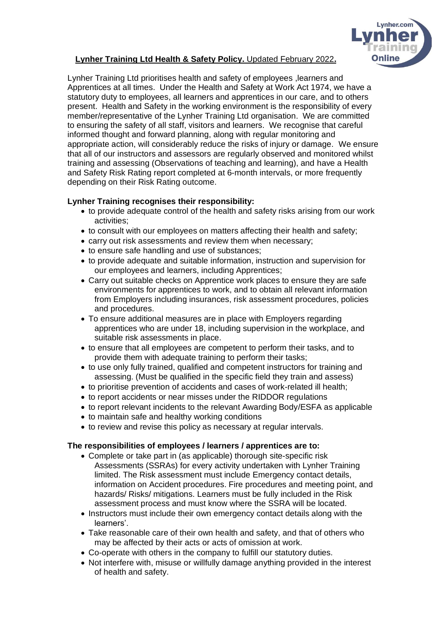

# **Lynher Training Ltd Health & Safety Policy.** Updated February 2022**.**

Lynher Training Ltd prioritises health and safety of employees ,learners and Apprentices at all times. Under the Health and Safety at Work Act 1974, we have a statutory duty to employees, all learners and apprentices in our care, and to others present. Health and Safety in the working environment is the responsibility of every member/representative of the Lynher Training Ltd organisation. We are committed to ensuring the safety of all staff, visitors and learners. We recognise that careful informed thought and forward planning, along with regular monitoring and appropriate action, will considerably reduce the risks of injury or damage. We ensure that all of our instructors and assessors are regularly observed and monitored whilst training and assessing (Observations of teaching and learning), and have a Health and Safety Risk Rating report completed at 6-month intervals, or more frequently depending on their Risk Rating outcome.

## **Lynher Training recognises their responsibility:**

- to provide adequate control of the health and safety risks arising from our work activities;
- to consult with our employees on matters affecting their health and safety;
- carry out risk assessments and review them when necessary;
- to ensure safe handling and use of substances;
- to provide adequate and suitable information, instruction and supervision for our employees and learners, including Apprentices;
- Carry out suitable checks on Apprentice work places to ensure they are safe environments for apprentices to work, and to obtain all relevant information from Employers including insurances, risk assessment procedures, policies and procedures.
- To ensure additional measures are in place with Employers regarding apprentices who are under 18, including supervision in the workplace, and suitable risk assessments in place.
- to ensure that all employees are competent to perform their tasks, and to provide them with adequate training to perform their tasks;
- to use only fully trained, qualified and competent instructors for training and assessing. (Must be qualified in the specific field they train and assess)
- to prioritise prevention of accidents and cases of work-related ill health;
- to report accidents or near misses under the RIDDOR regulations
- to report relevant incidents to the relevant Awarding Body/ESFA as applicable
- to maintain safe and healthy working conditions
- to review and revise this policy as necessary at regular intervals.

### **The responsibilities of employees / learners / apprentices are to:**

- Complete or take part in (as applicable) thorough site-specific risk Assessments (SSRAs) for every activity undertaken with Lynher Training limited. The Risk assessment must include Emergency contact details, information on Accident procedures. Fire procedures and meeting point, and hazards/ Risks/ mitigations. Learners must be fully included in the Risk assessment process and must know where the SSRA will be located.
- Instructors must include their own emergency contact details along with the learners'.
- Take reasonable care of their own health and safety, and that of others who may be affected by their acts or acts of omission at work.
- Co-operate with others in the company to fulfill our statutory duties.
- Not interfere with, misuse or willfully damage anything provided in the interest of health and safety.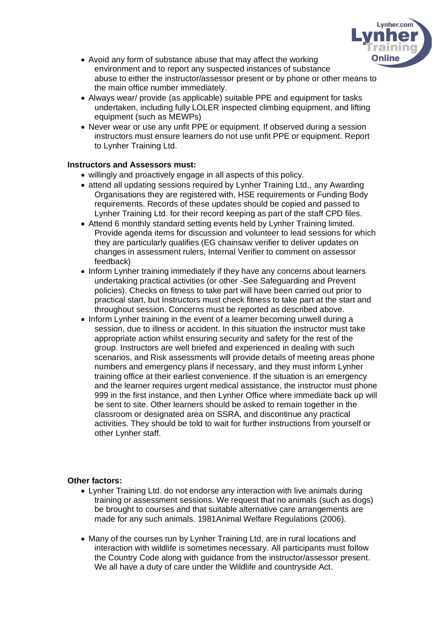

- Avoid any form of substance abuse that may affect the working environment and to report any suspected instances of substance abuse to either the instructor/assessor present or by phone or other means to the main office number immediately.
- Always wear/ provide (as applicable) suitable PPE and equipment for tasks undertaken, including fully LOLER inspected climbing equipment, and lifting equipment (such as MEWPs)
- Never wear or use any unfit PPE or equipment. If observed during a session instructors must ensure learners do not use unfit PPE or equipment. Report to Lynher Training Ltd.

### **Instructors and Assessors must:**

- willingly and proactively engage in all aspects of this policy.
- attend all updating sessions required by Lynher Training Ltd., any Awarding Organisations they are registered with, HSE requirements or Funding Body requirements. Records of these updates should be copied and passed to Lynher Training Ltd. for their record keeping as part of the staff CPD files.
- Attend 6 monthly standard setting events held by Lynher Training limited. Provide agenda items for discussion and volunteer to lead sessions for which they are particularly qualifies (EG chainsaw verifier to deliver updates on changes in assessment rulers, Internal Verifier to comment on assessor feedback)
- Inform Lynher training immediately if they have any concerns about learners undertaking practical activities (or other -See Safeguarding and Prevent policies). Checks on fitness to take part will have been carried out prior to practical start, but Instructors must check fitness to take part at the start and throughout session. Concerns must be reported as described above.
- Inform Lynher training in the event of a learner becoming unwell during a session, due to illness or accident. In this situation the instructor must take appropriate action whilst ensuring security and safety for the rest of the group. Instructors are well briefed and experienced in dealing with such scenarios, and Risk assessments will provide details of meeting areas phone numbers and emergency plans if necessary, and they must inform Lynher training office at their earliest convenience. If the situation is an emergency and the learner requires urgent medical assistance, the instructor must phone 999 in the first instance, and then Lynher Office where immediate back up will be sent to site. Other learners should be asked to remain together in the classroom or designated area on SSRA, and discontinue any practical activities. They should be told to wait for further instructions from yourself or other Lynher staff.

### **Other factors:**

- Lynher Training Ltd. do not endorse any interaction with live animals during training or assessment sessions. We request that no animals (such as dogs) be brought to courses and that suitable alternative care arrangements are made for any such animals. 1981Animal Welfare Regulations (2006).
- Many of the courses run by Lynher Training Ltd, are in rural locations and interaction with wildlife is sometimes necessary. All participants must follow the Country Code along with guidance from the instructor/assessor present. We all have a duty of care under the Wildlife and countryside Act.